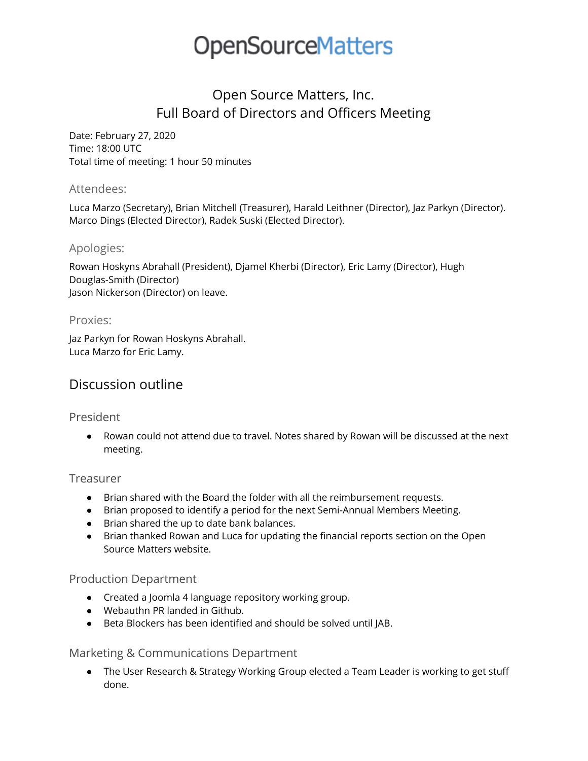# Open Source Matters, Inc. Full Board of Directors and Officers Meeting

Date: February 27, 2020 Time: 18:00 UTC Total time of meeting: 1 hour 50 minutes

#### Attendees:

Luca Marzo (Secretary), Brian Mitchell (Treasurer), Harald Leithner (Director), Jaz Parkyn (Director). Marco Dings (Elected Director), Radek Suski (Elected Director).

# Apologies:

Rowan Hoskyns Abrahall (President), Djamel Kherbi (Director), Eric Lamy (Director), Hugh Douglas-Smith (Director) Jason Nickerson (Director) on leave.

# Proxies:

Jaz Parkyn for Rowan Hoskyns Abrahall. Luca Marzo for Eric Lamy.

# Discussion outline

# President

● Rowan could not attend due to travel. Notes shared by Rowan will be discussed at the next meeting.

# Treasurer

- Brian shared with the Board the folder with all the reimbursement requests.
- Brian proposed to identify a period for the next Semi-Annual Members Meeting.
- Brian shared the up to date bank balances.
- Brian thanked Rowan and Luca for updating the financial reports section on the Open Source Matters website.

# Production Department

- Created a Joomla 4 language repository working group.
- Webauthn PR landed in Github.
- Beta Blockers has been identified and should be solved until JAB.

# Marketing & Communications Department

● The User Research & Strategy Working Group elected a Team Leader is working to get stuff done.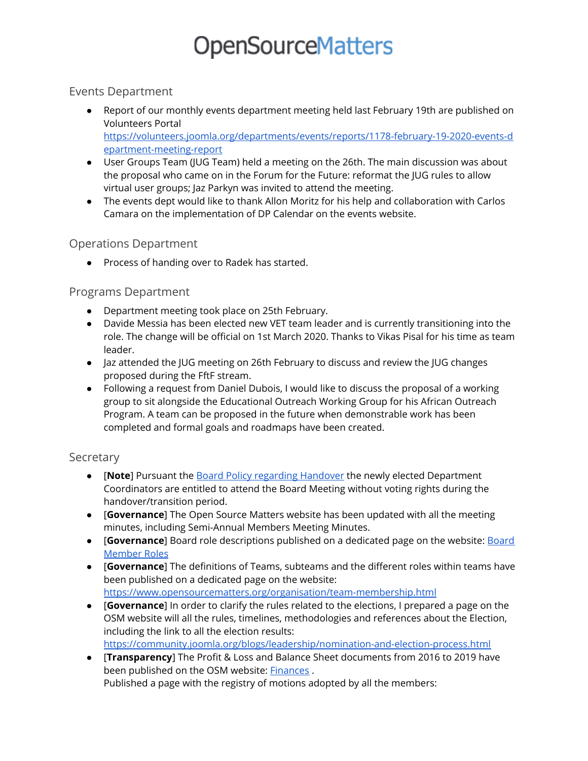### Events Department

- Report of our monthly events department meeting held last February 19th are published on Volunteers Portal [https://volunteers.joomla.org/departments/events/reports/1178-february-19-2020-events-d](https://volunteers.joomla.org/departments/events/reports/1178-february-19-2020-events-department-meeting-report) [epartment-meeting-report](https://volunteers.joomla.org/departments/events/reports/1178-february-19-2020-events-department-meeting-report)
- User Groups Team (JUG Team) held a meeting on the 26th. The main discussion was about the proposal who came on in the Forum for the Future: reformat the JUG rules to allow virtual user groups; Jaz Parkyn was invited to attend the meeting.
- The events dept would like to thank Allon Moritz for his help and collaboration with Carlos Camara on the implementation of DP Calendar on the events website.

# Operations Department

● Process of handing over to Radek has started.

# Programs Department

- Department meeting took place on 25th February.
- Davide Messia has been elected new VET team leader and is currently transitioning into the role. The change will be official on 1st March 2020. Thanks to Vikas Pisal for his time as team leader.
- Jaz attended the JUG meeting on 26th February to discuss and review the JUG changes proposed during the FftF stream.
- Following a request from Daniel Dubois, I would like to discuss the proposal of a working group to sit alongside the Educational Outreach Working Group for his African Outreach Program. A team can be proposed in the future when demonstrable work has been completed and formal goals and roadmaps have been created.

# Secretary

- [**Note**] Pursuant the Board Policy regarding [Handover](https://www.opensourcematters.org/organisation/directors/policies/270-board-policy-regarding-handover.html) the newly elected Department Coordinators are entitled to attend the Board Meeting without voting rights during the handover/transition period.
- [**Governance**] The Open Source Matters website has been updated with all the meeting minutes, including Semi-Annual Members Meeting Minutes.
- [**Governance**] Board role descriptions published on a dedicated page on the website: [Board](https://www.opensourcematters.org/organisation/directors/board-member-roles.html) [Member](https://www.opensourcematters.org/organisation/directors/board-member-roles.html) Roles
- [**Governance**] The definitions of Teams, subteams and the different roles within teams have been published on a dedicated page on the website: <https://www.opensourcematters.org/organisation/team-membership.html>
- [**Governance**] In order to clarify the rules related to the elections, I prepared a page on the OSM website will all the rules, timelines, methodologies and references about the Election, including the link to all the election results: <https://community.joomla.org/blogs/leadership/nomination-and-election-process.html>
- [**Transparency**] The Profit & Loss and Balance Sheet documents from 2016 to 2019 have been published on the OSM website: [Finances](https://www.opensourcematters.org/organisation/finances.html).

Published a page with the registry of motions adopted by all the members: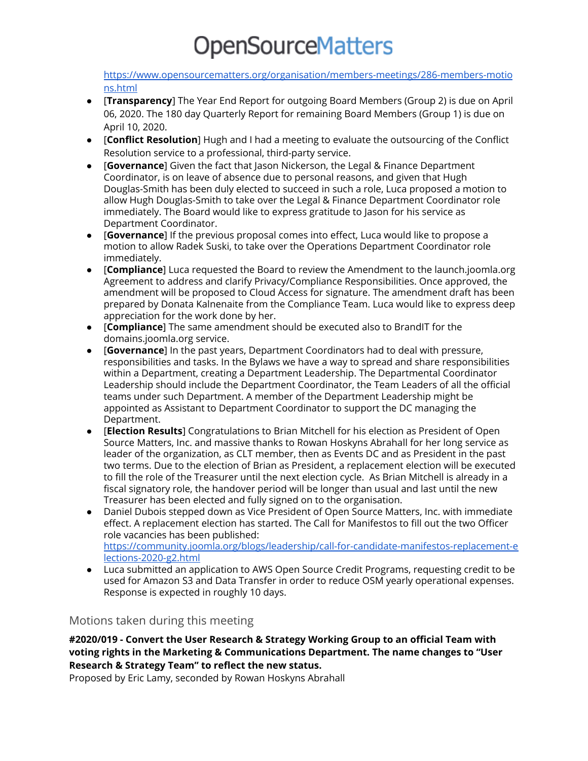[https://www.opensourcematters.org/organisation/members-meetings/286-members-motio](https://www.opensourcematters.org/organisation/members-meetings/286-members-motions.html) [ns.html](https://www.opensourcematters.org/organisation/members-meetings/286-members-motions.html)

- [**Transparency**] The Year End Report for outgoing Board Members (Group 2) is due on April 06, 2020. The 180 day Quarterly Report for remaining Board Members (Group 1) is due on April 10, 2020.
- [**Conflict Resolution**] Hugh and I had a meeting to evaluate the outsourcing of the Conflict Resolution service to a professional, third-party service.
- [**Governance**] Given the fact that Jason Nickerson, the Legal & Finance Department Coordinator, is on leave of absence due to personal reasons, and given that Hugh Douglas-Smith has been duly elected to succeed in such a role, Luca proposed a motion to allow Hugh Douglas-Smith to take over the Legal & Finance Department Coordinator role immediately. The Board would like to express gratitude to Jason for his service as Department Coordinator.
- [**Governance**] If the previous proposal comes into effect, Luca would like to propose a motion to allow Radek Suski, to take over the Operations Department Coordinator role immediately.
- [**Compliance**] Luca requested the Board to review the Amendment to the launch.joomla.org Agreement to address and clarify Privacy/Compliance Responsibilities. Once approved, the amendment will be proposed to Cloud Access for signature. The amendment draft has been prepared by Donata Kalnenaite from the Compliance Team. Luca would like to express deep appreciation for the work done by her.
- [**Compliance**] The same amendment should be executed also to BrandIT for the domains.joomla.org service.
- [**Governance**] In the past years, Department Coordinators had to deal with pressure, responsibilities and tasks. In the Bylaws we have a way to spread and share responsibilities within a Department, creating a Department Leadership. The Departmental Coordinator Leadership should include the Department Coordinator, the Team Leaders of all the official teams under such Department. A member of the Department Leadership might be appointed as Assistant to Department Coordinator to support the DC managing the Department.
- [**Election Results**] Congratulations to Brian Mitchell for his election as President of Open Source Matters, Inc. and massive thanks to Rowan Hoskyns Abrahall for her long service as leader of the organization, as CLT member, then as Events DC and as President in the past two terms. Due to the election of Brian as President, a replacement election will be executed to fill the role of the Treasurer until the next election cycle. As Brian Mitchell is already in a fiscal signatory role, the handover period will be longer than usual and last until the new Treasurer has been elected and fully signed on to the organisation.
- Daniel Dubois stepped down as Vice President of Open Source Matters, Inc. with immediate effect. A replacement election has started. The Call for Manifestos to fill out the two Officer role vacancies has been published: [https://community.joomla.org/blogs/leadership/call-for-candidate-manifestos-replacement-e](https://community.joomla.org/blogs/leadership/call-for-candidate-manifestos-replacement-elections-2020-g2.html) [lections-2020-g2.html](https://community.joomla.org/blogs/leadership/call-for-candidate-manifestos-replacement-elections-2020-g2.html)
- Luca submitted an application to AWS Open Source Credit Programs, requesting credit to be used for Amazon S3 and Data Transfer in order to reduce OSM yearly operational expenses. Response is expected in roughly 10 days.

#### Motions taken during this meeting

**#2020/019 - Convert the User Research & Strategy Working Group to an official Team with voting rights in the Marketing & Communications Department. The name changes to "User Research & Strategy Team" to reflect the new status.**

Proposed by Eric Lamy, seconded by Rowan Hoskyns Abrahall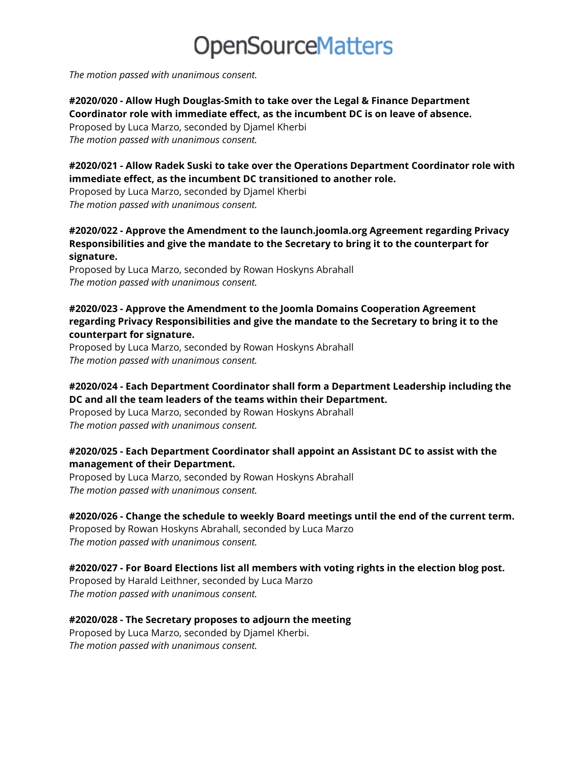*The motion passed with unanimous consent.*

#### **#2020/020 - Allow Hugh Douglas-Smith to take over the Legal & Finance Department Coordinator role with immediate effect, as the incumbent DC is on leave of absence.**

Proposed by Luca Marzo, seconded by Djamel Kherbi *The motion passed with unanimous consent.*

#### **#2020/021 - Allow Radek Suski to take over the Operations Department Coordinator role with immediate effect, as the incumbent DC transitioned to another role.**

Proposed by Luca Marzo, seconded by Djamel Kherbi *The motion passed with unanimous consent.*

#### **#2020/022 - Approve the Amendment to the launch.joomla.org Agreement regarding Privacy Responsibilities and give the mandate to the Secretary to bring it to the counterpart for signature.**

Proposed by Luca Marzo, seconded by Rowan Hoskyns Abrahall *The motion passed with unanimous consent.*

#### **#2020/023 - Approve the Amendment to the Joomla Domains Cooperation Agreement regarding Privacy Responsibilities and give the mandate to the Secretary to bring it to the counterpart for signature.**

Proposed by Luca Marzo, seconded by Rowan Hoskyns Abrahall *The motion passed with unanimous consent.*

#### **#2020/024 - Each Department Coordinator shall form a Department Leadership including the DC and all the team leaders of the teams within their Department.**

Proposed by Luca Marzo, seconded by Rowan Hoskyns Abrahall *The motion passed with unanimous consent.*

#### **#2020/025 - Each Department Coordinator shall appoint an Assistant DC to assist with the management of their Department.**

Proposed by Luca Marzo, seconded by Rowan Hoskyns Abrahall *The motion passed with unanimous consent.*

#### **#2020/026 - Change the schedule to weekly Board meetings until the end of the current term.**

Proposed by Rowan Hoskyns Abrahall, seconded by Luca Marzo *The motion passed with unanimous consent.*

# **#2020/027 - For Board Elections list all members with voting rights in the election blog post.**

Proposed by Harald Leithner, seconded by Luca Marzo *The motion passed with unanimous consent.*

#### **#2020/028 - The Secretary proposes to adjourn the meeting**

Proposed by Luca Marzo, seconded by Djamel Kherbi. *The motion passed with unanimous consent.*